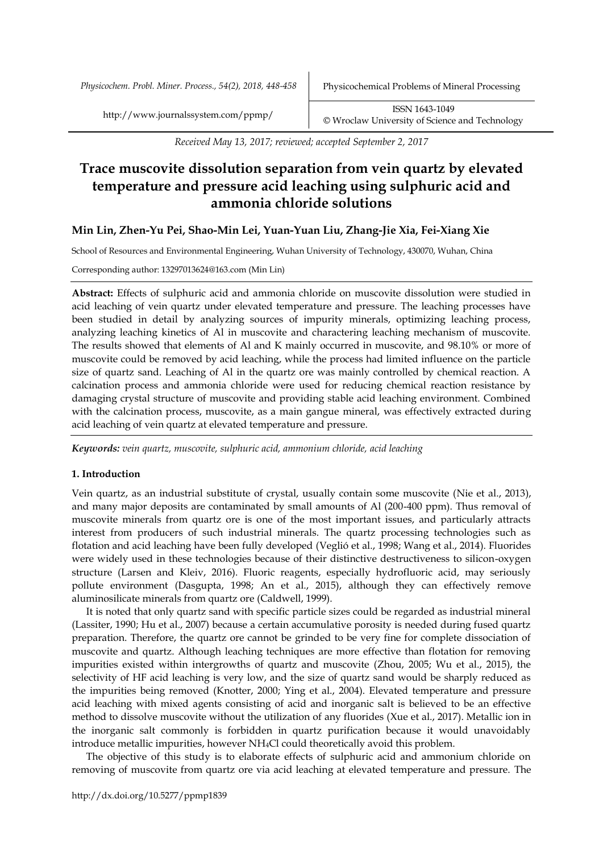*Physicochem. Probl. Miner. Process., 54(2), 2018, 448-458* Physicochemical Problems of Mineral Processing

*Received May 13, 2017; reviewed; accepted September 2, 2017*

# **Trace muscovite dissolution separation from vein quartz by elevated temperature and pressure acid leaching using sulphuric acid and ammonia chloride solutions**

# **Min Lin, Zhen-Yu Pei, Shao-Min Lei, Yuan-Yuan Liu, Zhang-Jie Xia, Fei-Xiang Xie**

School of Resources and Environmental Engineering, Wuhan University of Technology, 430070, Wuhan, China

Corresponding author: 13297013624@163.com (Min Lin)

**Abstract:** Effects of sulphuric acid and ammonia chloride on muscovite dissolution were studied in acid leaching of vein quartz under elevated temperature and pressure. The leaching processes have been studied in detail by analyzing sources of impurity minerals, optimizing leaching process, analyzing leaching kinetics of Al in muscovite and charactering leaching mechanism of muscovite. The results showed that elements of Al and K mainly occurred in muscovite, and 98.10% or more of muscovite could be removed by acid leaching, while the process had limited influence on the particle size of quartz sand. Leaching of Al in the quartz ore was mainly controlled by chemical reaction. A calcination process and ammonia chloride were used for reducing chemical reaction resistance by damaging crystal structure of muscovite and providing stable acid leaching environment. Combined with the calcination process, muscovite, as a main gangue mineral, was effectively extracted during acid leaching of vein quartz at elevated temperature and pressure.

*Keywords: vein quartz, muscovite, sulphuric acid, ammonium chloride, acid leaching*

#### **1. Introduction**

Vein quartz, as an industrial substitute of crystal, usually contain some muscovite (Nie et al., 2013), and many major deposits are contaminated by small amounts of Al (200-400 ppm). Thus removal of muscovite minerals from quartz ore is one of the most important issues, and particularly attracts interest from producers of such industrial minerals. The quartz processing technologies such as flotation and acid leaching have been fully developed (Veglió et al., 1998; Wang et al., 2014). Fluorides were widely used in these technologies because of their distinctive destructiveness to silicon-oxygen structure (Larsen and Kleiv, 2016). Fluoric reagents, especially hydrofluoric acid, may seriously pollute environment (Dasgupta, 1998; An et al., 2015), although they can effectively remove aluminosilicate minerals from quartz ore (Caldwell, 1999).

It is noted that only quartz sand with specific particle sizes could be regarded as industrial mineral (Lassiter, 1990; Hu et al., 2007) because a certain accumulative porosity is needed during fused quartz preparation. Therefore, the quartz ore cannot be grinded to be very fine for complete dissociation of muscovite and quartz. Although leaching techniques are more effective than flotation for removing impurities existed within intergrowths of quartz and muscovite (Zhou, 2005; Wu et al., 2015), the selectivity of HF acid leaching is very low, and the size of quartz sand would be sharply reduced as the impurities being removed (Knotter, 2000; Ying et al., 2004). Elevated temperature and pressure acid leaching with mixed agents consisting of acid and inorganic salt is believed to be an effective method to dissolve muscovite without the utilization of any fluorides (Xue et al., 2017). Metallic ion in the inorganic salt commonly is forbidden in quartz purification because it would unavoidably introduce metallic impurities, however NH4Cl could theoretically avoid this problem.

The objective of this study is to elaborate effects of sulphuric acid and ammonium chloride on removing of muscovite from quartz ore via acid leaching at elevated temperature and pressure. The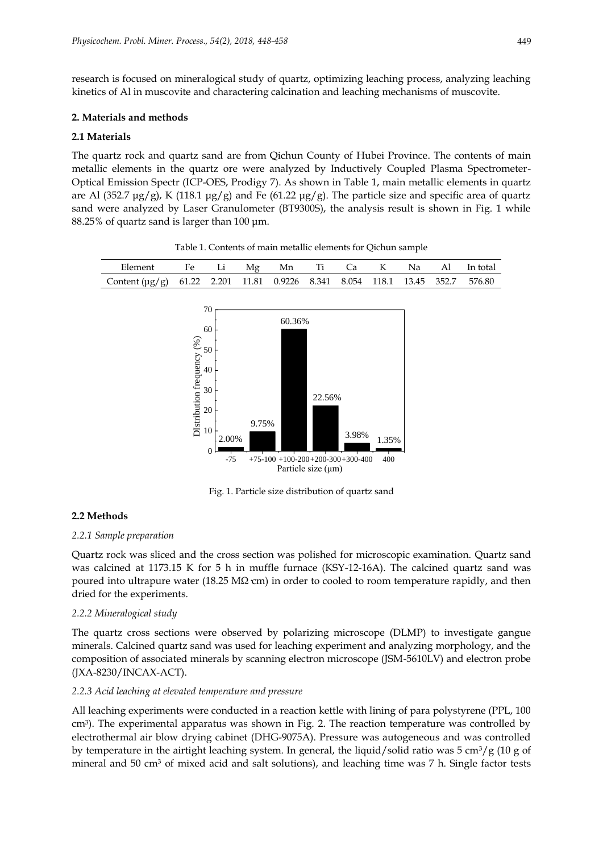research is focused on mineralogical study of quartz, optimizing leaching process, analyzing leaching kinetics of Al in muscovite and charactering calcination and leaching mechanisms of muscovite.

## **2. Materials and methods**

# **2.1 Materials**

The quartz rock and quartz sand are from Qichun County of Hubei Province. The contents of main metallic elements in the quartz ore were analyzed by Inductively Coupled Plasma Spectrometer-Optical Emission Spectr (ICP-OES, Prodigy 7). As shown in Table 1, main metallic elements in quartz are Al (352.7  $\mu$ g/g), K (118.1  $\mu$ g/g) and Fe (61.22  $\mu$ g/g). The particle size and specific area of quartz sand were analyzed by Laser Granulometer (BT9300S), the analysis result is shown in Fig. 1 while 88.25% of quartz sand is larger than 100 μm.



Table 1. Contents of main metallic elements for Qichun sample

Fig. 1. Particle size distribution of quartz sand

# **2.2 Methods**

#### *2.2.1 Sample preparation*

Quartz rock was sliced and the cross section was polished for microscopic examination. Quartz sand was calcined at 1173.15 K for 5 h in muffle furnace (KSY-12-16A). The calcined quartz sand was poured into ultrapure water (18.25 M $\Omega$  cm) in order to cooled to room temperature rapidly, and then dried for the experiments.

## *2.2.2 Mineralogical study*

The quartz cross sections were observed by polarizing microscope (DLMP) to investigate gangue minerals. Calcined quartz sand was used for leaching experiment and analyzing morphology, and the composition of associated minerals by scanning electron microscope (JSM-5610LV) and electron probe (JXA-8230/INCAX-ACT).

## *2.2.3 Acid leaching at elevated temperature and pressure*

All leaching experiments were conducted in a reaction kettle with lining of para polystyrene (PPL, 100 cm<sup>3</sup> ). The experimental apparatus was shown in Fig. 2. The reaction temperature was controlled by electrothermal air blow drying cabinet (DHG-9075A). Pressure was autogeneous and was controlled by temperature in the airtight leaching system. In general, the liquid/solid ratio was 5 cm<sup>3</sup>/g (10 g of mineral and 50 cm<sup>3</sup> of mixed acid and salt solutions), and leaching time was 7 h. Single factor tests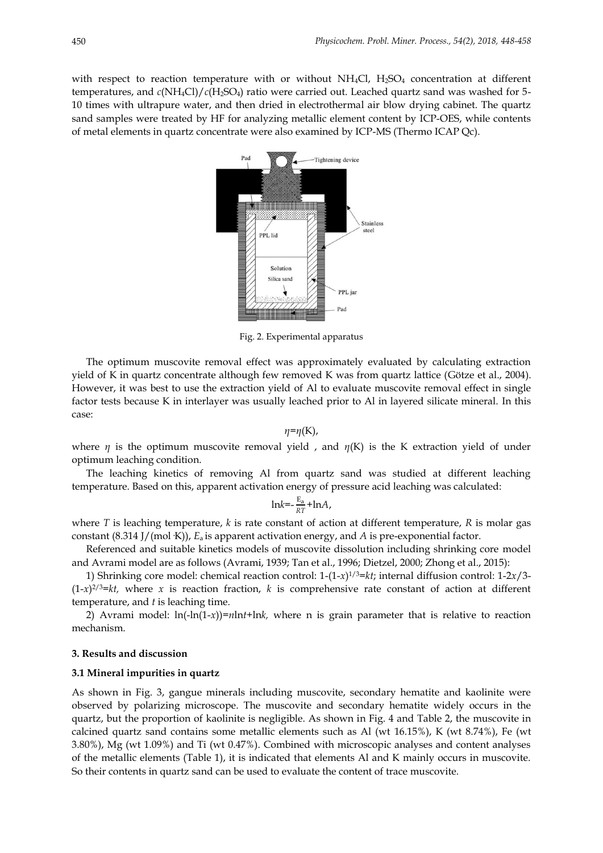with respect to reaction temperature with or without NH<sub>4</sub>Cl, H<sub>2</sub>SO<sub>4</sub> concentration at different temperatures, and  $c(NH_4Cl)/c(H_2SO_4)$  ratio were carried out. Leached quartz sand was washed for 5-10 times with ultrapure water, and then dried in electrothermal air blow drying cabinet. The quartz sand samples were treated by HF for analyzing metallic element content by ICP-OES, while contents of metal elements in quartz concentrate were also examined by ICP-MS (Thermo ICAP Qc).



Fig. 2. Experimental apparatus

The optimum muscovite removal effect was approximately evaluated by calculating extraction yield of K in quartz concentrate although few removed K was from quartz lattice (Götze et al., 2004). However, it was best to use the extraction yield of Al to evaluate muscovite removal effect in single factor tests because K in interlayer was usually leached prior to Al in layered silicate mineral. In this case:

*η*=*η*(K),

where  $\eta$  is the optimum muscovite removal yield, and  $\eta(K)$  is the K extraction yield of under optimum leaching condition.

The leaching kinetics of removing Al from quartz sand was studied at different leaching temperature. Based on this, apparent activation energy of pressure acid leaching was calculated:

$$
lnk = -\frac{E_a}{RT} + lnA,
$$

where *T* is leaching temperature, *k* is rate constant of action at different temperature, *R* is molar gas constant (8.314 J/(mol·K)), *E*a is apparent activation energy, and *A* is pre-exponential factor.

Referenced and suitable kinetics models of muscovite dissolution including shrinking core model and Avrami model are as follows (Avrami, 1939; Tan et al., 1996; Dietzel, 2000; Zhong et al., 2015):

1) Shrinking core model: chemical reaction control: 1-(1-*x*) 1/3=*kt*; internal diffusion control: 1-2*x*/3-  $(1-x)^{2/3}$ =kt, where x is reaction fraction, k is comprehensive rate constant of action at different temperature, and *t* is leaching time.

2) Avrami model:  $ln(-ln(1-x))=nln(t)$  where n is grain parameter that is relative to reaction mechanism.

#### **3. Results and discussion**

#### **3.1 Mineral impurities in quartz**

As shown in Fig. 3, gangue minerals including muscovite, secondary hematite and kaolinite were observed by polarizing microscope. The muscovite and secondary hematite widely occurs in the quartz, but the proportion of kaolinite is negligible. As shown in Fig. 4 and Table 2, the muscovite in calcined quartz sand contains some metallic elements such as Al (wt 16.15%), K (wt 8.74%), Fe (wt 3.80%), Mg (wt 1.09%) and Ti (wt 0.47%). Combined with microscopic analyses and content analyses of the metallic elements (Table 1), it is indicated that elements Al and K mainly occurs in muscovite. So their contents in quartz sand can be used to evaluate the content of trace muscovite.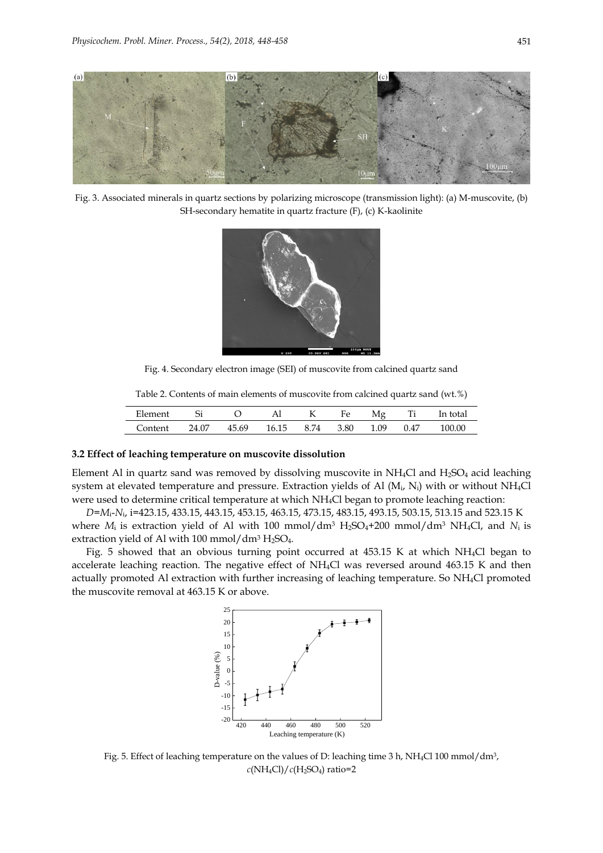

Fig. 3. Associated minerals in quartz sections by polarizing microscope (transmission light): (a) M-muscovite, (b) SH-secondary hematite in quartz fracture (F), (c) K-kaolinite



Fig. 4. Secondary electron image (SEI) of muscovite from calcined quartz sand

Table 2. Contents of main elements of muscovite from calcined quartz sand (wt.%)

| Element |       |       | Al    | K    | HΔ<br>+ C | 84 o | Ti   | In total |
|---------|-------|-------|-------|------|-----------|------|------|----------|
| 'ontent | 24.07 | 45.69 | 16.15 | 8.74 | 3.80      | 1.09 | 0.47 | 100.00   |

#### **3.2 Effect of leaching temperature on muscovite dissolution**

Element Al in quartz sand was removed by dissolving muscovite in NH4Cl and H2SO<sup>4</sup> acid leaching system at elevated temperature and pressure. Extraction yields of Al  $(M_i, N_i)$  with or without NH<sub>4</sub>Cl were used to determine critical temperature at which NH4Cl began to promote leaching reaction:

*D*=*M*i-*N*i, i=423.15, 433.15, 443.15, 453.15, 463.15, 473.15, 483.15, 493.15, 503.15, 513.15 and 523.15 K where  $M_i$  is extraction yield of Al with 100 mmol/dm<sup>3</sup> H<sub>2</sub>SO<sub>4</sub>+200 mmol/dm<sup>3</sup> NH<sub>4</sub>Cl, and  $N_i$  is extraction yield of Al with 100 mmol/ $dm^3$  H<sub>2</sub>SO<sub>4</sub>.

Fig. 5 showed that an obvious turning point occurred at 453.15 K at which NH4Cl began to accelerate leaching reaction. The negative effect of NH4Cl was reversed around 463.15 K and then actually promoted Al extraction with further increasing of leaching temperature. So NH4Cl promoted the muscovite removal at 463.15 K or above.



Fig. 5. Effect of leaching temperature on the values of D: leaching time 3 h, NH4Cl 100 mmol/dm3,  $c(NH_4Cl)/c(H_2SO_4)$  ratio=2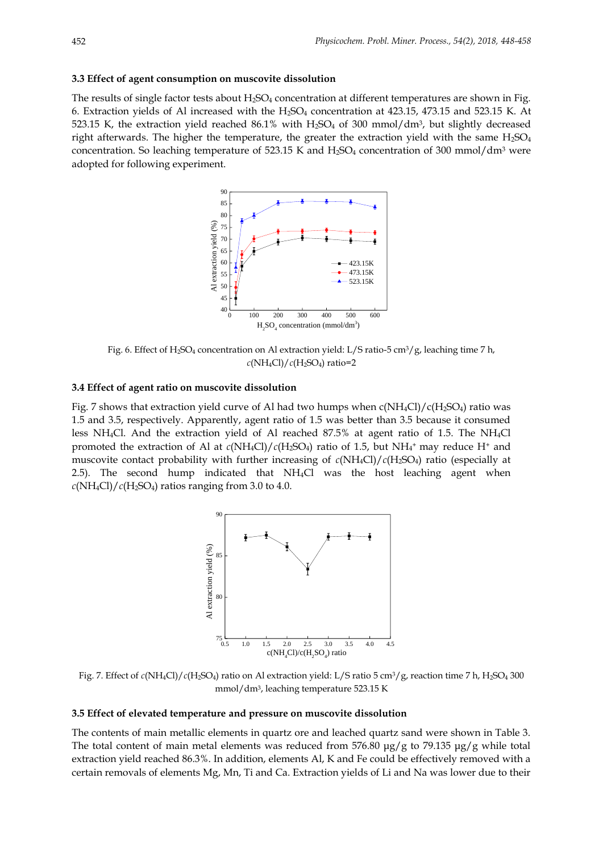#### **3.3 Effect of agent consumption on muscovite dissolution**

The results of single factor tests about  $H_2SO_4$  concentration at different temperatures are shown in Fig. 6. Extraction yields of Al increased with the  $H_2SO_4$  concentration at 423.15, 473.15 and 523.15 K. At 523.15 K, the extraction yield reached 86.1% with  $H_2SO_4$  of 300 mmol/dm<sup>3</sup>, but slightly decreased right afterwards. The higher the temperature, the greater the extraction yield with the same  $H_2SO_4$ concentration. So leaching temperature of 523.15 K and  $H_2SO_4$  concentration of 300 mmol/dm<sup>3</sup> were adopted for following experiment.



Fig. 6. Effect of H<sub>2</sub>SO<sub>4</sub> concentration on Al extraction yield: L/S ratio-5 cm<sup>3</sup>/g, leaching time 7 h, *c*(NH4Cl)/*c*(H2SO4) ratio=2

#### **3.4 Effect of agent ratio on muscovite dissolution**

Fig. 7 shows that extraction yield curve of Al had two humps when  $c(NH_4Cl)/(c(H_2SO_4)$  ratio was 1.5 and 3.5, respectively. Apparently, agent ratio of 1.5 was better than 3.5 because it consumed less NH4Cl. And the extraction yield of Al reached 87.5% at agent ratio of 1.5. The NH4Cl promoted the extraction of Al at  $c(NH_4Cl)/c(H_2SO_4)$  ratio of 1.5, but  $NH_4^+$  may reduce H<sup>+</sup> and muscovite contact probability with further increasing of  $c(NH_4Cl)/c(H_2SO_4)$  ratio (especially at 2.5). The second hump indicated that NH4Cl was the host leaching agent when  $c(NH_4Cl)/c(H_2SO_4)$  ratios ranging from 3.0 to 4.0.



Fig. 7. Effect of  $c(NH_4Cl)/c(H_2SO_4)$  ratio on Al extraction yield: L/S ratio 5 cm<sup>3</sup>/g, reaction time 7 h, H<sub>2</sub>SO<sub>4</sub> 300 mmol/dm3, leaching temperature 523.15 K

## **3.5 Effect of elevated temperature and pressure on muscovite dissolution**

The contents of main metallic elements in quartz ore and leached quartz sand were shown in Table 3. The total content of main metal elements was reduced from 576.80 μg/g to 79.135 μg/g while total extraction yield reached 86.3%. In addition, elements Al, K and Fe could be effectively removed with a certain removals of elements Mg, Mn, Ti and Ca. Extraction yields of Li and Na was lower due to their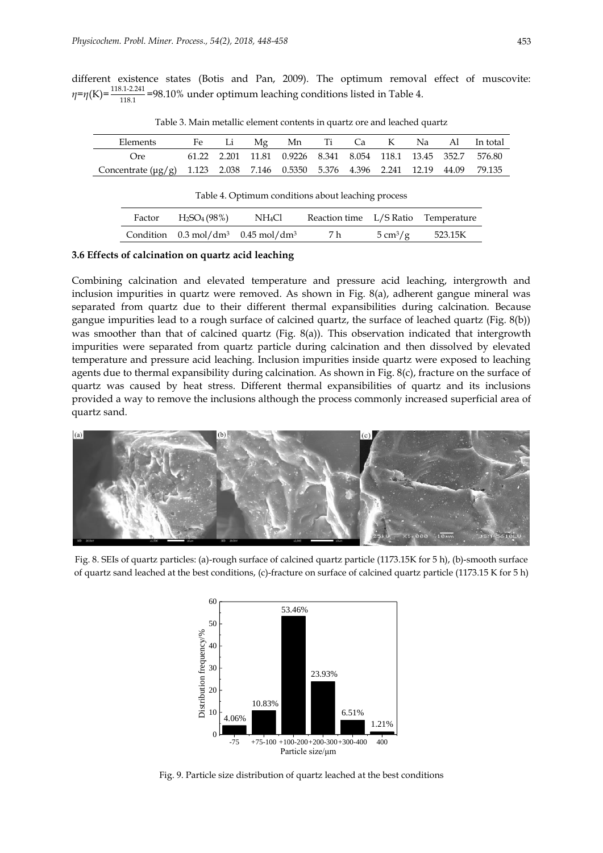different existence states (Botis and Pan, 2009). The optimum removal effect of muscovite:  $\eta = \eta(K) = \frac{118.1-2.241}{118.1} = 98.10\%$  under optimum leaching conditions listed in Table 4.

| Elements                                                                              |  |                                                               |  |  | Fe Li Mg Mn Ti Ca K Na Al Intotal |
|---------------------------------------------------------------------------------------|--|---------------------------------------------------------------|--|--|-----------------------------------|
| ( )re                                                                                 |  | 61.22 2.201 11.81 0.9226 8.341 8.054 118.1 13.45 352.7 576.80 |  |  |                                   |
| Concentrate $(\mu g/g)$ 1.123 2.038 7.146 0.5350 5.376 4.396 2.241 12.19 44.09 79.135 |  |                                                               |  |  |                                   |

Table 3. Main metallic element contents in quartz ore and leached quartz

| Table 4. Optimum conditions about leaching process |  |
|----------------------------------------------------|--|
|                                                    |  |

| Factor | $H_2SO_4(98\%)$ | NH4Cl                                                    | Reaction time L/S Ratio Temperature |                                |         |
|--------|-----------------|----------------------------------------------------------|-------------------------------------|--------------------------------|---------|
|        |                 | Condition $0.3 \text{ mol/dm}^3$ $0.45 \text{ mol/dm}^3$ | 7 h                                 | $5 \,\mathrm{cm}^3/\mathrm{g}$ | 523.15K |

#### **3.6 Effects of calcination on quartz acid leaching**

Combining calcination and elevated temperature and pressure acid leaching, intergrowth and inclusion impurities in quartz were removed. As shown in Fig. 8(a), adherent gangue mineral was separated from quartz due to their different thermal expansibilities during calcination. Because gangue impurities lead to a rough surface of calcined quartz, the surface of leached quartz (Fig. 8(b)) was smoother than that of calcined quartz (Fig. 8(a)). This observation indicated that intergrowth impurities were separated from quartz particle during calcination and then dissolved by elevated temperature and pressure acid leaching. Inclusion impurities inside quartz were exposed to leaching agents due to thermal expansibility during calcination. As shown in Fig. 8(c), fracture on the surface of quartz was caused by heat stress. Different thermal expansibilities of quartz and its inclusions provided a way to remove the inclusions although the process commonly increased superficial area of quartz sand.



Fig. 8. SEIs of quartz particles: (a)-rough surface of calcined quartz particle (1173.15K for 5 h), (b)-smooth surface of quartz sand leached at the best conditions, (c)-fracture on surface of calcined quartz particle (1173.15 K for 5 h)



Fig. 9. Particle size distribution of quartz leached at the best conditions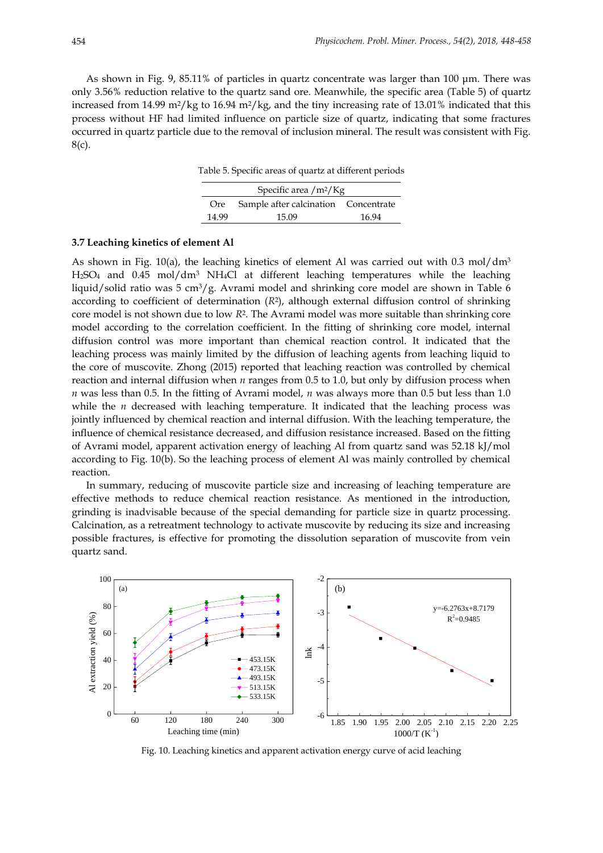As shown in Fig. 9, 85.11% of particles in quartz concentrate was larger than 100 μm. There was only 3.56% reduction relative to the quartz sand ore. Meanwhile, the specific area (Table 5) of quartz increased from 14.99 m<sup>2</sup>/kg to 16.94 m<sup>2</sup>/kg, and the tiny increasing rate of 13.01% indicated that this process without HF had limited influence on particle size of quartz, indicating that some fractures occurred in quartz particle due to the removal of inclusion mineral. The result was consistent with Fig. 8(c).

Table 5. Specific areas of quartz at different periods

| Specific area $/m^2/Kg$ |                                          |       |  |  |  |  |
|-------------------------|------------------------------------------|-------|--|--|--|--|
|                         | Ore Sample after calcination Concentrate |       |  |  |  |  |
| 14.99                   | 15.09                                    | 16.94 |  |  |  |  |

## **3.7 Leaching kinetics of element Al**

As shown in Fig. 10(a), the leaching kinetics of element Al was carried out with 0.3 mol/dm<sup>3</sup> H2SO<sup>4</sup> and 0.45 mol/dm<sup>3</sup> NH4Cl at different leaching temperatures while the leaching liquid/solid ratio was 5 cm3/g. Avrami model and shrinking core model are shown in Table 6 according to coefficient of determination (*R*<sup>2</sup> ), although external diffusion control of shrinking core model is not shown due to low *R*<sup>2</sup> . The Avrami model was more suitable than shrinking core model according to the correlation coefficient. In the fitting of shrinking core model, internal diffusion control was more important than chemical reaction control. It indicated that the leaching process was mainly limited by the diffusion of leaching agents from leaching liquid to the core of muscovite. Zhong (2015) reported that leaching reaction was controlled by chemical reaction and internal diffusion when *n* ranges from 0.5 to 1.0, but only by diffusion process when *n* was less than 0.5. In the fitting of Avrami model, *n* was always more than 0.5 but less than 1.0 while the  $n$  decreased with leaching temperature. It indicated that the leaching process was jointly influenced by chemical reaction and internal diffusion. With the leaching temperature, the influence of chemical resistance decreased, and diffusion resistance increased. Based on the fitting of Avrami model, apparent activation energy of leaching Al from quartz sand was 52.18 kJ/mol according to Fig. 10(b). So the leaching process of element Al was mainly controlled by chemical reaction.

In summary, reducing of muscovite particle size and increasing of leaching temperature are effective methods to reduce chemical reaction resistance. As mentioned in the introduction, grinding is inadvisable because of the special demanding for particle size in quartz processing. Calcination, as a retreatment technology to activate muscovite by reducing its size and increasing possible fractures, is effective for promoting the dissolution separation of muscovite from vein quartz sand.



Fig. 10. Leaching kinetics and apparent activation energy curve of acid leaching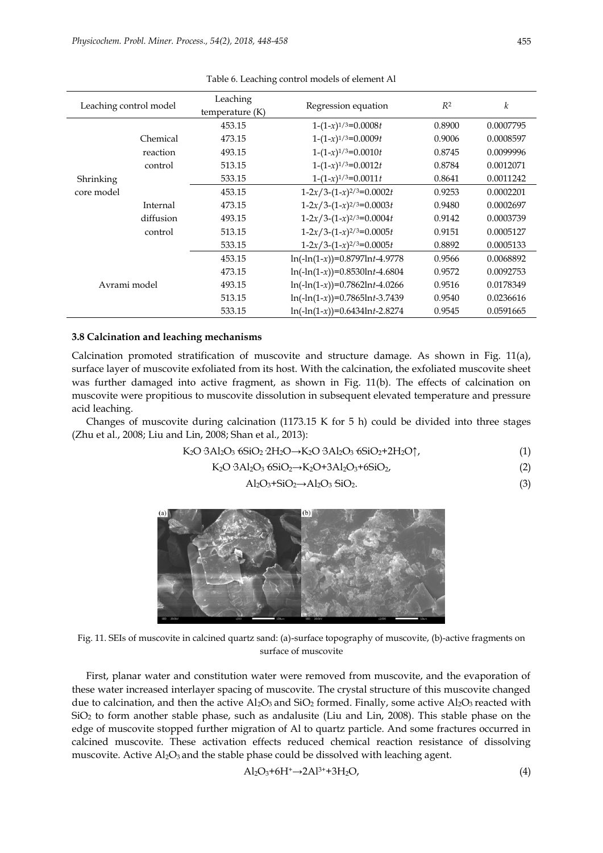| Leaching control model |           | Leaching<br>temperature $(K)$ | Regression equation             | R <sup>2</sup> | k         |
|------------------------|-----------|-------------------------------|---------------------------------|----------------|-----------|
|                        |           | 453.15                        | $1-(1-x)^{1/3}=0.0008t$         | 0.8900         | 0.0007795 |
|                        | Chemical  | 473.15                        | $1-(1-x)^{1/3}=0.0009t$         | 0.9006         | 0.0008597 |
|                        | reaction  | 493.15                        | $1-(1-x)^{1/3}=0.0010t$         | 0.8745         | 0.0099996 |
|                        | control   | 513.15                        | $1-(1-x)^{1/3}=0.0012t$         | 0.8784         | 0.0012071 |
| Shrinking              |           | 533.15                        | $1-(1-x)^{1/3}=0.0011t$         | 0.8641         | 0.0011242 |
| core model             |           | 453.15                        | $1-2x/3-(1-x)^{2/3}=0.0002t$    | 0.9253         | 0.0002201 |
|                        | Internal  | 473.15                        | $1-2x/3-(1-x)^{2/3}=0.0003t$    | 0.9480         | 0.0002697 |
|                        | diffusion | 493.15                        | $1-2x/3-(1-x)^{2/3}=0.0004t$    | 0.9142         | 0.0003739 |
|                        | control   | 513.15                        | $1-2x/3-(1-x)^{2/3}=0.0005t$    | 0.9151         | 0.0005127 |
|                        |           | 533.15                        | $1-2x/3-(1-x)^{2/3}=0.0005t$    | 0.8892         | 0.0005133 |
|                        |           | 453.15                        | $ln(-ln(1-x))=0.8797lnt-4.9778$ | 0.9566         | 0.0068892 |
| Avrami model           |           | 473.15                        | $ln(-ln(1-x))=0.8530lnt-4.6804$ | 0.9572         | 0.0092753 |
|                        |           | 493.15                        | $ln(-ln(1-x))=0.7862lnt-4.0266$ | 0.9516         | 0.0178349 |
|                        |           | 513.15                        | $ln(-ln(1-x))=0.7865lnt-3.7439$ | 0.9540         | 0.0236616 |
|                        |           | 533.15                        | $ln(-ln(1-x))=0.6434lnt-2.8274$ | 0.9545         | 0.0591665 |

Table 6. Leaching control models of element Al

# **3.8 Calcination and leaching mechanisms**

Calcination promoted stratification of muscovite and structure damage. As shown in Fig. 11(a), surface layer of muscovite exfoliated from its host. With the calcination, the exfoliated muscovite sheet was further damaged into active fragment, as shown in Fig. 11(b). The effects of calcination on muscovite were propitious to muscovite dissolution in subsequent elevated temperature and pressure acid leaching.

Changes of muscovite during calcination (1173.15 K for 5 h) could be divided into three stages (Zhu et al., 2008; Liu and Lin, 2008; Shan et al., 2013):

$$
K_2O \cdot 3Al_2O_3 \cdot 6SiO_2 \cdot 2H_2O \rightarrow K_2O \cdot 3Al_2O_3 \cdot 6SiO_2 + 2H_2O \uparrow,
$$
\n(1)

$$
K_2O \cdot 3Al_2O_3 \cdot 6SiO_2 \rightarrow K_2O + 3Al_2O_3 + 6SiO_2,\tag{2}
$$

$$
Al_2O_3 + SiO_2 \rightarrow Al_2O_3 SiO_2. \tag{3}
$$



Fig. 11. SEIs of muscovite in calcined quartz sand: (a)-surface topography of muscovite, (b)-active fragments on surface of muscovite

First, planar water and constitution water were removed from muscovite, and the evaporation of these water increased interlayer spacing of muscovite. The crystal structure of this muscovite changed due to calcination, and then the active  $\text{Al}_2\text{O}_3$  and  $\text{SiO}_2$  formed. Finally, some active  $\text{Al}_2\text{O}_3$  reacted with SiO<sup>2</sup> to form another stable phase, such as andalusite (Liu and Lin, 2008). This stable phase on the edge of muscovite stopped further migration of Al to quartz particle. And some fractures occurred in calcined muscovite. These activation effects reduced chemical reaction resistance of dissolving muscovite. Active Al<sub>2</sub>O<sub>3</sub> and the stable phase could be dissolved with leaching agent.

$$
\text{Al}_2\text{O}_3 + 6\text{H}^+ \rightarrow 2\text{Al}^{3+} + 3\text{H}_2\text{O},\tag{4}
$$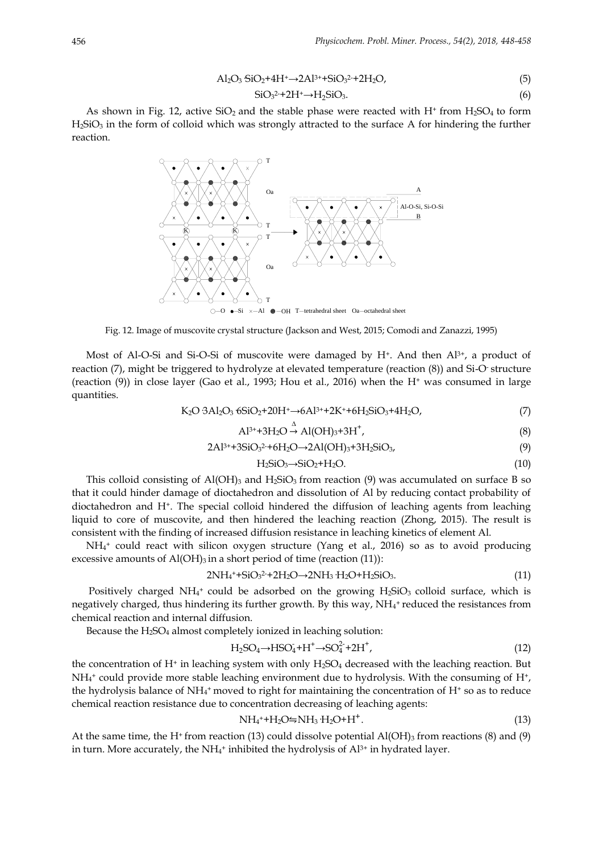$$
\mathrm{Al}_2\mathrm{O}_3\,\mathrm{SiO}_2 + 4\mathrm{H}^+ \rightarrow 2\mathrm{Al}^{3+} + \mathrm{SiO}_3^{2-} + 2\mathrm{H}_2\mathrm{O},\tag{5}
$$

$$
SiO32+2H+\rightarrow H2SiO3.
$$
 (6)

As shown in Fig. 12, active  $SiO<sub>2</sub>$  and the stable phase were reacted with H<sup>+</sup> from H<sub>2</sub>SO<sub>4</sub> to form  $H_2SiO_3$  in the form of colloid which was strongly attracted to the surface A for hindering the further reaction.



Fig. 12. Image of muscovite crystal structure (Jackson and West, 2015; Comodi and Zanazzi, 1995)

Most of Al-O-Si and Si-O-Si of muscovite were damaged by  $H^*$ . And then  $Al^{3+}$ , a product of reaction (7), might be triggered to hydrolyze at elevated temperature (reaction (8)) and Si-O- structure (reaction  $(9)$ ) in close layer (Gao et al., 1993; Hou et al., 2016) when the H<sup>+</sup> was consumed in large quantities.

$$
K_2O \cdot 3Al_2O_3 \cdot 6SiO_2 + 20H^+ \rightarrow 6Al^{3+} + 2K^+ + 6H_2SiO_3 + 4H_2O, \tag{7}
$$

$$
\text{Al}^{3+}+3\text{H}_2\text{O} \xrightarrow{\Delta} \text{Al}(\text{OH})_3+3\text{H}^+, \tag{8}
$$

$$
2Al^{3+}+3SiO_3^{2+}+6H_2O \rightarrow 2Al(OH)_3+3H_2SiO_3,\tag{9}
$$

$$
H_2SiO_3 \rightarrow SiO_2 + H_2O. \tag{10}
$$

This colloid consisting of  $Al(OH)_{3}$  and  $H_{2}SiO_{3}$  from reaction (9) was accumulated on surface B so that it could hinder damage of dioctahedron and dissolution of Al by reducing contact probability of dioctahedron and H+. The special colloid hindered the diffusion of leaching agents from leaching liquid to core of muscovite, and then hindered the leaching reaction (Zhong, 2015). The result is consistent with the finding of increased diffusion resistance in leaching kinetics of element Al.

NH<sup>4</sup> <sup>+</sup> could react with silicon oxygen structure (Yang et al., 2016) so as to avoid producing excessive amounts of  $AI(OH)_3$  in a short period of time (reaction (11)):

$$
2NH_4^+ + SiO_3^2 + 2H_2O \rightarrow 2NH_3 \cdot H_2O + H_2SiO_3. \tag{11}
$$

Positively charged NH4<sup>+</sup> could be adsorbed on the growing  $H_2SiO_3$  colloid surface, which is negatively charged, thus hindering its further growth. By this way,  $NH<sub>4</sub>$  reduced the resistances from chemical reaction and internal diffusion.

Because the  $H_2SO_4$  almost completely ionized in leaching solution:

$$
H_2SO_4 \to HSO_4^+ + H^+ \to SO_4^{2-} + 2H^+, \tag{12}
$$

the concentration of  $H^+$  in leaching system with only  $H_2SO_4$  decreased with the leaching reaction. But  $NH<sub>4</sub>$  could provide more stable leaching environment due to hydrolysis. With the consuming of H<sup>+</sup>, the hydrolysis balance of NH<sub>4</sub><sup>+</sup> moved to right for maintaining the concentration of H<sup>+</sup> so as to reduce chemical reaction resistance due to concentration decreasing of leaching agents:

$$
NH_4^{\ast} + H_2O \neq NH_3 \cdot H_2O + H^+.
$$
\n
$$
(13)
$$

At the same time, the H<sup>+</sup> from reaction (13) could dissolve potential  $AI(OH)$ <sub>3</sub> from reactions (8) and (9) in turn. More accurately, the NH<sub>4</sub>+ inhibited the hydrolysis of  $Al^{3+}$  in hydrated layer.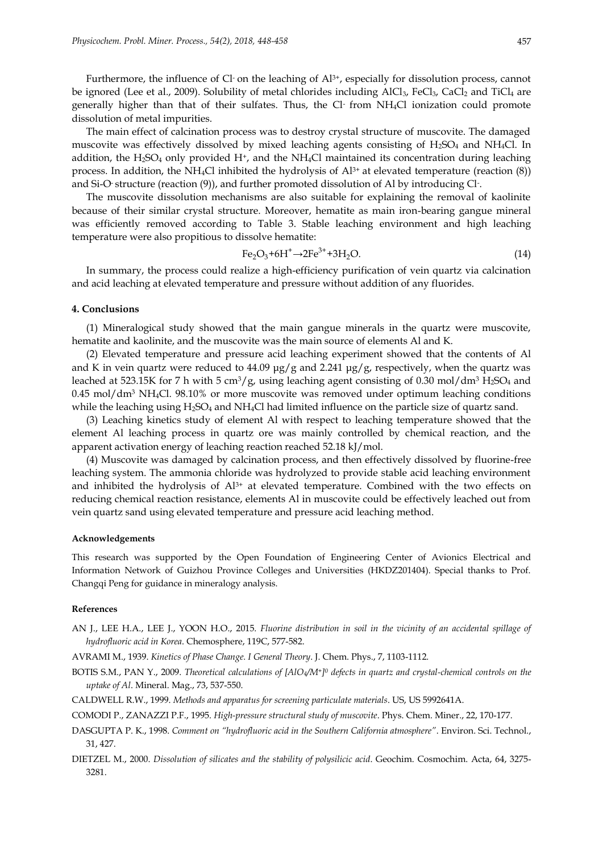Furthermore, the influence of Cl $\cdot$  on the leaching of  $Al^{3+}$ , especially for dissolution process, cannot be ignored (Lee et al., 2009). Solubility of metal chlorides including AlCl<sub>3</sub>, FeCl<sub>3</sub>, CaCl<sub>2</sub> and TiCl<sub>4</sub> are generally higher than that of their sulfates. Thus, the Cl-from NH4Cl ionization could promote dissolution of metal impurities.

The main effect of calcination process was to destroy crystal structure of muscovite. The damaged muscovite was effectively dissolved by mixed leaching agents consisting of H<sub>2</sub>SO<sub>4</sub> and NH<sub>4</sub>Cl. In addition, the  $H_2SO_4$  only provided  $H^*$ , and the NH<sub>4</sub>Cl maintained its concentration during leaching process. In addition, the NH<sub>4</sub>Cl inhibited the hydrolysis of  $Al^{3+}$  at elevated temperature (reaction  $(8)$ ) and Si-O- structure (reaction (9)), and further promoted dissolution of Al by introducing Cl- .

The muscovite dissolution mechanisms are also suitable for explaining the removal of kaolinite because of their similar crystal structure. Moreover, hematite as main iron-bearing gangue mineral was efficiently removed according to Table 3. Stable leaching environment and high leaching temperature were also propitious to dissolve hematite:

$$
\text{Fe}_2\text{O}_3 + 6\text{H}^+ \rightarrow 2\text{Fe}^{3+} + 3\text{H}_2\text{O}.\tag{14}
$$

In summary, the process could realize a high-efficiency purification of vein quartz via calcination and acid leaching at elevated temperature and pressure without addition of any fluorides.

#### **4. Conclusions**

(1) Mineralogical study showed that the main gangue minerals in the quartz were muscovite, hematite and kaolinite, and the muscovite was the main source of elements Al and K.

(2) Elevated temperature and pressure acid leaching experiment showed that the contents of Al and K in vein quartz were reduced to 44.09  $\mu$ g/g and 2.241  $\mu$ g/g, respectively, when the quartz was leached at 523.15K for 7 h with 5 cm<sup>3</sup>/g, using leaching agent consisting of 0.30 mol/dm<sup>3</sup> H<sub>2</sub>SO<sub>4</sub> and 0.45 mol/dm<sup>3</sup> NH4Cl. 98.10% or more muscovite was removed under optimum leaching conditions while the leaching using H<sub>2</sub>SO<sub>4</sub> and NH<sub>4</sub>Cl had limited influence on the particle size of quartz sand.

(3) Leaching kinetics study of element Al with respect to leaching temperature showed that the element Al leaching process in quartz ore was mainly controlled by chemical reaction, and the apparent activation energy of leaching reaction reached 52.18 kJ/mol.

(4) Muscovite was damaged by calcination process, and then effectively dissolved by fluorine-free leaching system. The ammonia chloride was hydrolyzed to provide stable acid leaching environment and inhibited the hydrolysis of Al<sup>3+</sup> at elevated temperature. Combined with the two effects on reducing chemical reaction resistance, elements Al in muscovite could be effectively leached out from vein quartz sand using elevated temperature and pressure acid leaching method.

#### **Acknowledgements**

This research was supported by the Open Foundation of Engineering Center of Avionics Electrical and Information Network of Guizhou Province Colleges and Universities (HKDZ201404). Special thanks to Prof. Changqi Peng for guidance in mineralogy analysis.

#### **References**

- AN J., LEE H.A., LEE J., YOON H.O., 2015. *Fluorine distribution in soil in the vicinity of an accidental spillage of hydrofluoric acid in Korea*. Chemosphere, 119C, 577-582.
- AVRAMI M., 1939. *Kinetics of Phase Change. I General Theory*. J. Chem. Phys., 7, 1103-1112.
- BOTIS S.M., PAN Y., 2009. *Theoretical calculations of [AlO4/M+] <sup>0</sup> defects in quartz and crystal-chemical controls on the uptake of Al*. Mineral. Mag., 73, 537-550.
- CALDWELL R.W., 1999. *Methods and apparatus for screening particulate materials*. US, US 5992641A.
- COMODI P., ZANAZZI P.F., 1995. *High-pressure structural study of muscovite*. Phys. Chem. Miner., 22, 170-177.
- DASGUPTA P. K., 1998. *Comment on "hydrofluoric acid in the Southern California atmosphere"*. Environ. Sci. Technol., 31, 427.
- DIETZEL M., 2000. *Dissolution of silicates and the stability of polysilicic acid*. Geochim. Cosmochim. Acta, 64, 3275- 3281.